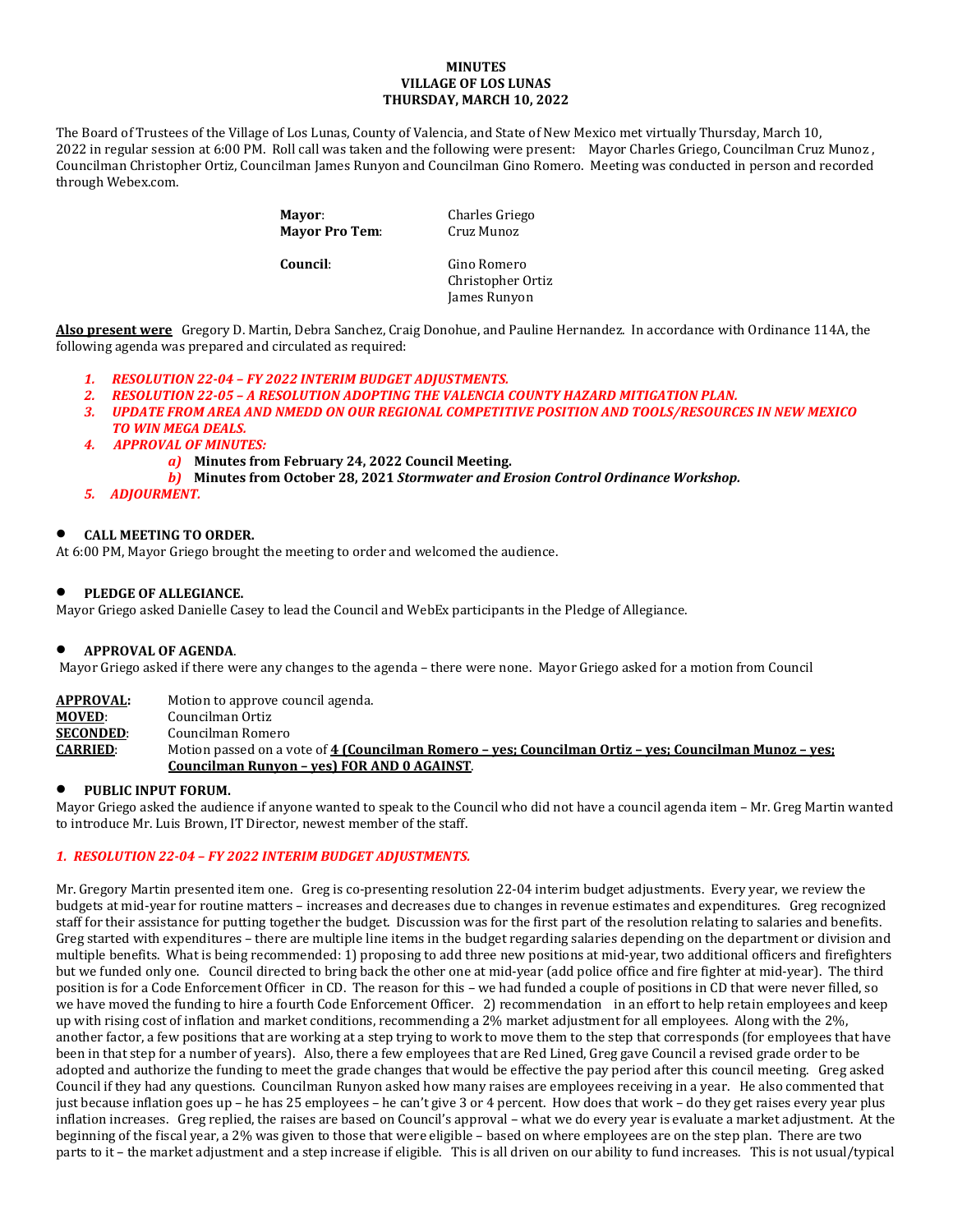#### **MINUTES VILLAGE OF LOS LUNAS THURSDAY, MARCH 10, 2022**

The Board of Trustees of the Village of Los Lunas, County of Valencia, and State of New Mexico met virtually Thursday, March 10, 2022 in regular session at 6:00 PM. Roll call was taken and the following were present: Mayor Charles Griego, Councilman Cruz Munoz , Councilman Christopher Ortiz, Councilman James Runyon and Councilman Gino Romero. Meeting was conducted in person and recorded through Webex.com.

> **Mayor:** Charles Griego<br> **Mayor Pro Tem:** Cruz Munoz **Mayor Pro Tem:**

**Council**: Gino Romero Christopher Ortiz James Runyon

**Also present were** Gregory D. Martin, Debra Sanchez, Craig Donohue, and Pauline Hernandez. In accordance with Ordinance 114A, the following agenda was prepared and circulated as required:

- *1. RESOLUTION 22-04 – FY 2022 INTERIM BUDGET ADJUSTMENTS.*
- *2. RESOLUTION 22-05 – A RESOLUTION ADOPTING THE VALENCIA COUNTY HAZARD MITIGATION PLAN.*
- *3. UPDATE FROM AREA AND NMEDD ON OUR REGIONAL COMPETITIVE POSITION AND TOOLS/RESOURCES IN NEW MEXICO TO WIN MEGA DEALS.*
- *4. APPROVAL OF MINUTES:*
	- *a)* **Minutes from February 24, 2022 Council Meeting.**
	- *b)* **Minutes from October 28, 2021** *Stormwater and Erosion Control Ordinance Workshop.*
- *5. ADJOURMENT.*

# • **CALL MEETING TO ORDER.**

At 6:00 PM, Mayor Griego brought the meeting to order and welcomed the audience.

## • **PLEDGE OF ALLEGIANCE.**

Mayor Griego asked Danielle Casey to lead the Council and WebEx participants in the Pledge of Allegiance.

### • **APPROVAL OF AGENDA**.

Mayor Griego asked if there were any changes to the agenda – there were none. Mayor Griego asked for a motion from Council

| APPROVAL:        | Motion to approve council agenda.                                                                      |
|------------------|--------------------------------------------------------------------------------------------------------|
| <b>MOVED:</b>    | Councilman Ortiz                                                                                       |
| <b>SECONDED:</b> | Councilman Romero                                                                                      |
| <b>CARRIED:</b>  | Motion passed on a vote of 4 (Councilman Romero – ves; Councilman Ortiz – ves; Councilman Munoz – ves; |
|                  | Councilman Runyon - yes) FOR AND 0 AGAINST.                                                            |

### • **PUBLIC INPUT FORUM.**

Mayor Griego asked the audience if anyone wanted to speak to the Council who did not have a council agenda item – Mr. Greg Martin wanted to introduce Mr. Luis Brown, IT Director, newest member of the staff.

## *1. RESOLUTION 22-04 – FY 2022 INTERIM BUDGET ADJUSTMENTS.*

Mr. Gregory Martin presented item one. Greg is co-presenting resolution 22-04 interim budget adjustments. Every year, we review the budgets at mid-year for routine matters – increases and decreases due to changes in revenue estimates and expenditures. Greg recognized staff for their assistance for putting together the budget. Discussion was for the first part of the resolution relating to salaries and benefits. Greg started with expenditures – there are multiple line items in the budget regarding salaries depending on the department or division and multiple benefits. What is being recommended: 1) proposing to add three new positions at mid-year, two additional officers and firefighters but we funded only one. Council directed to bring back the other one at mid-year (add police office and fire fighter at mid-year). The third position is for a Code Enforcement Officer in CD. The reason for this – we had funded a couple of positions in CD that were never filled, so we have moved the funding to hire a fourth Code Enforcement Officer. 2) recommendation in an effort to help retain employees and keep up with rising cost of inflation and market conditions, recommending a 2% market adjustment for all employees. Along with the 2%, another factor, a few positions that are working at a step trying to work to move them to the step that corresponds (for employees that have been in that step for a number of years). Also, there a few employees that are Red Lined, Greg gave Council a revised grade order to be adopted and authorize the funding to meet the grade changes that would be effective the pay period after this council meeting. Greg asked Council if they had any questions. Councilman Runyon asked how many raises are employees receiving in a year. He also commented that just because inflation goes up – he has 25 employees – he can't give 3 or 4 percent. How does that work – do they get raises every year plus inflation increases. Greg replied, the raises are based on Council's approval – what we do every year is evaluate a market adjustment. At the beginning of the fiscal year, a 2% was given to those that were eligible – based on where employees are on the step plan. There are two parts to it – the market adjustment and a step increase if eligible. This is all driven on our ability to fund increases. This is not usual/typical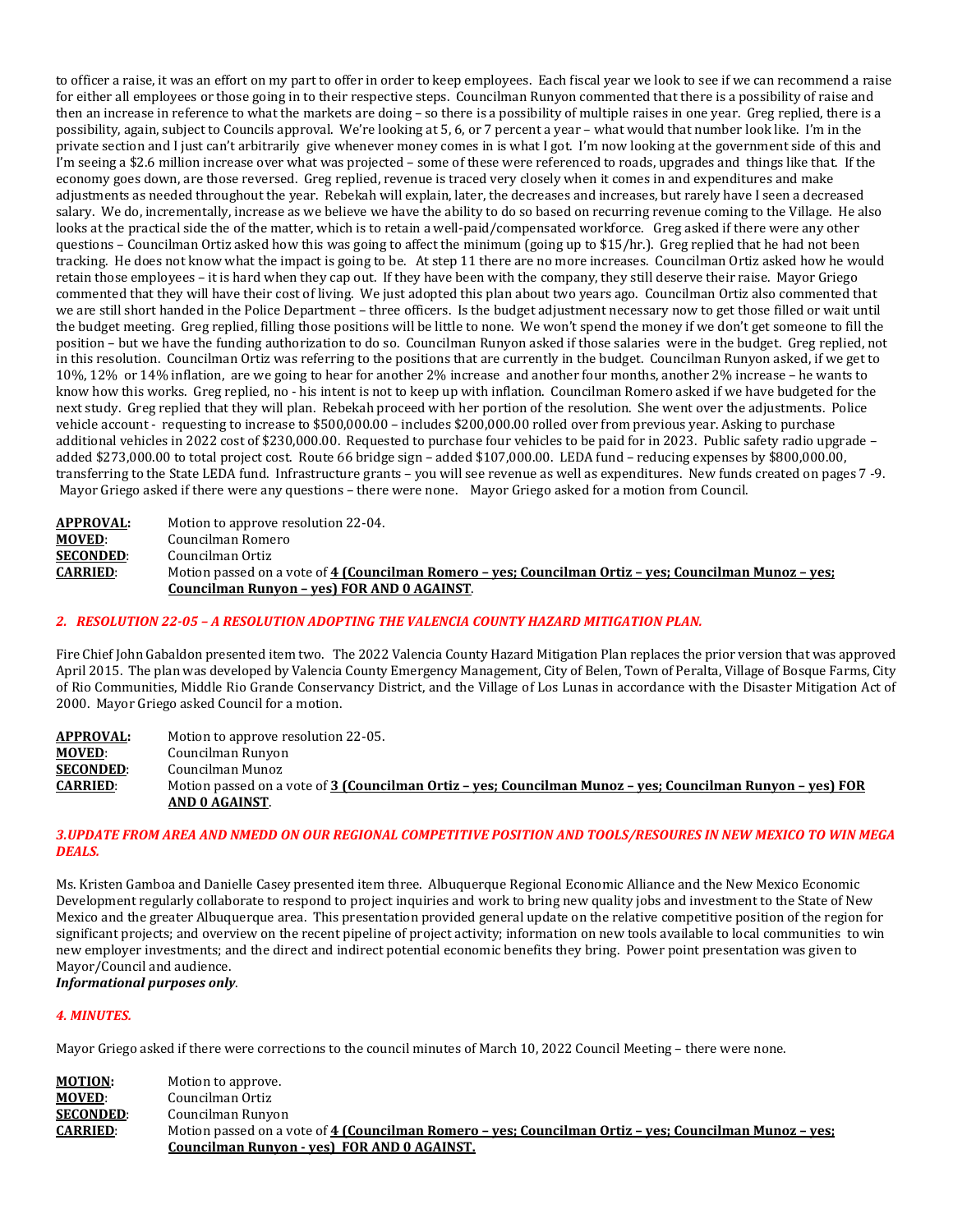to officer a raise, it was an effort on my part to offer in order to keep employees. Each fiscal year we look to see if we can recommend a raise for either all employees or those going in to their respective steps. Councilman Runyon commented that there is a possibility of raise and then an increase in reference to what the markets are doing – so there is a possibility of multiple raises in one year. Greg replied, there is a possibility, again, subject to Councils approval. We're looking at 5, 6, or 7 percent a year – what would that number look like. I'm in the private section and I just can't arbitrarily give whenever money comes in is what I got. I'm now looking at the government side of this and I'm seeing a \$2.6 million increase over what was projected – some of these were referenced to roads, upgrades and things like that. If the economy goes down, are those reversed. Greg replied, revenue is traced very closely when it comes in and expenditures and make adjustments as needed throughout the year. Rebekah will explain, later, the decreases and increases, but rarely have I seen a decreased salary. We do, incrementally, increase as we believe we have the ability to do so based on recurring revenue coming to the Village. He also looks at the practical side the of the matter, which is to retain a well-paid/compensated workforce. Greg asked if there were any other questions – Councilman Ortiz asked how this was going to affect the minimum (going up to \$15/hr.). Greg replied that he had not been tracking. He does not know what the impact is going to be. At step 11 there are no more increases. Councilman Ortiz asked how he would retain those employees – it is hard when they cap out. If they have been with the company, they still deserve their raise. Mayor Griego commented that they will have their cost of living. We just adopted this plan about two years ago. Councilman Ortiz also commented that we are still short handed in the Police Department – three officers. Is the budget adjustment necessary now to get those filled or wait until the budget meeting. Greg replied, filling those positions will be little to none. We won't spend the money if we don't get someone to fill the position – but we have the funding authorization to do so. Councilman Runyon asked if those salaries were in the budget. Greg replied, not in this resolution. Councilman Ortiz was referring to the positions that are currently in the budget. Councilman Runyon asked, if we get to 10%, 12% or 14% inflation, are we going to hear for another 2% increase and another four months, another 2% increase – he wants to know how this works. Greg replied, no - his intent is not to keep up with inflation. Councilman Romero asked if we have budgeted for the next study. Greg replied that they will plan. Rebekah proceed with her portion of the resolution. She went over the adjustments. Police vehicle account - requesting to increase to \$500,000.00 – includes \$200,000.00 rolled over from previous year. Asking to purchase additional vehicles in 2022 cost of \$230,000.00. Requested to purchase four vehicles to be paid for in 2023. Public safety radio upgrade – added \$273,000.00 to total project cost. Route 66 bridge sign – added \$107,000.00. LEDA fund – reducing expenses by \$800,000.00, transferring to the State LEDA fund. Infrastructure grants – you will see revenue as well as expenditures. New funds created on pages 7 -9. Mayor Griego asked if there were any questions – there were none. Mayor Griego asked for a motion from Council.

```
APPROVAL: Motion to approve resolution 22-04.
MOVED: Councilman Romero<br>SECONDED: Councilman Ortiz
SECONDED: Councilman Ortiz<br>CARRIED: Motion passed on
                    CARRIED: Motion passed on a vote of 4 (Councilman Romero – yes; Councilman Ortiz – yes; Councilman Munoz – yes; 
                   Councilman Runyon – yes) FOR AND 0 AGAINST.
```
# *2. RESOLUTION 22-05 – A RESOLUTION ADOPTING THE VALENCIA COUNTY HAZARD MITIGATION PLAN.*

Fire Chief John Gabaldon presented item two. The 2022 Valencia County Hazard Mitigation Plan replaces the prior version that was approved April 2015. The plan was developed by Valencia County Emergency Management, City of Belen, Town of Peralta, Village of Bosque Farms, City of Rio Communities, Middle Rio Grande Conservancy District, and the Village of Los Lunas in accordance with the Disaster Mitigation Act of 2000. Mayor Griego asked Council for a motion.

**APPROVAL:** Motion to approve resolution 22-05.<br>**MOVED**: Councilman Runyon **MOVED:** Councilman Runyon<br>**SECONDED:** Councilman Munoz **SECONDED:** Councilman Munoz<br>**CARRIED:** Motion passed on a **CARRIED**: Motion passed on a vote of **3 (Councilman Ortiz – yes; Councilman Munoz – yes; Councilman Runyon – yes) FOR AND 0 AGAINST**.

## *3.UPDATE FROM AREA AND NMEDD ON OUR REGIONAL COMPETITIVE POSITION AND TOOLS/RESOURES IN NEW MEXICO TO WIN MEGA DEALS.*

Ms. Kristen Gamboa and Danielle Casey presented item three. Albuquerque Regional Economic Alliance and the New Mexico Economic Development regularly collaborate to respond to project inquiries and work to bring new quality jobs and investment to the State of New Mexico and the greater Albuquerque area. This presentation provided general update on the relative competitive position of the region for significant projects; and overview on the recent pipeline of project activity; information on new tools available to local communities to win new employer investments; and the direct and indirect potential economic benefits they bring. Power point presentation was given to Mayor/Council and audience.

# *Informational purposes only*.

# *4. MINUTES.*

Mayor Griego asked if there were corrections to the council minutes of March 10, 2022 Council Meeting – there were none.

| <b>MOTION:</b>   | Motion to approve.                                                                                     |
|------------------|--------------------------------------------------------------------------------------------------------|
| <b>MOVED:</b>    | Councilman Ortiz                                                                                       |
| <b>SECONDED:</b> | Councilman Runyon                                                                                      |
| <b>CARRIED:</b>  | Motion passed on a vote of 4 (Councilman Romero – yes; Councilman Ortiz – yes; Councilman Munoz – yes; |
|                  | Councilman Runyon - yes) FOR AND 0 AGAINST.                                                            |